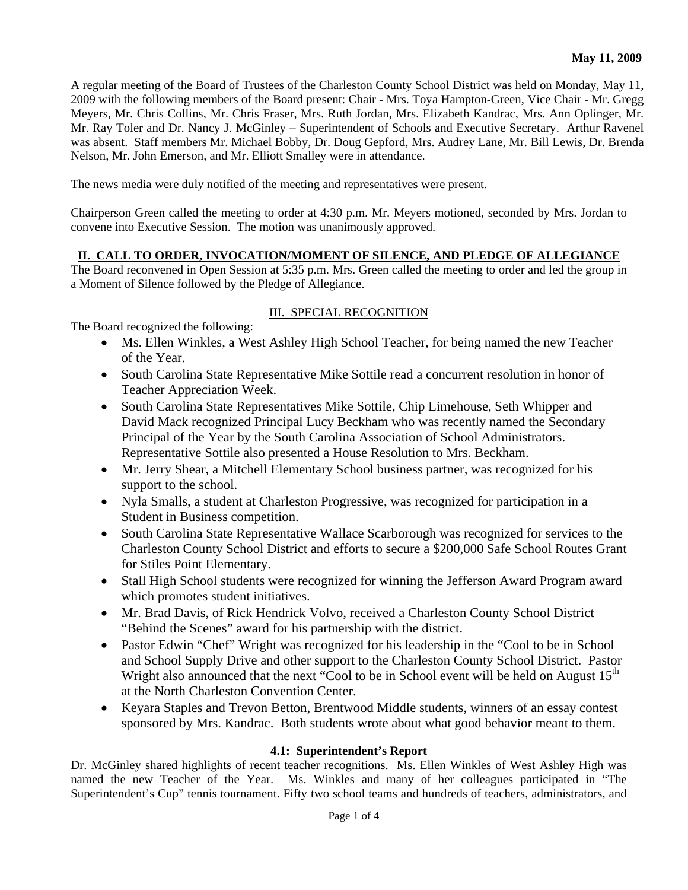A regular meeting of the Board of Trustees of the Charleston County School District was held on Monday, May 11, 2009 with the following members of the Board present: Chair - Mrs. Toya Hampton-Green, Vice Chair - Mr. Gregg Meyers, Mr. Chris Collins, Mr. Chris Fraser, Mrs. Ruth Jordan, Mrs. Elizabeth Kandrac, Mrs. Ann Oplinger, Mr. Mr. Ray Toler and Dr. Nancy J. McGinley – Superintendent of Schools and Executive Secretary. Arthur Ravenel was absent. Staff members Mr. Michael Bobby, Dr. Doug Gepford, Mrs. Audrey Lane, Mr. Bill Lewis, Dr. Brenda Nelson, Mr. John Emerson, and Mr. Elliott Smalley were in attendance.

The news media were duly notified of the meeting and representatives were present.

Chairperson Green called the meeting to order at 4:30 p.m. Mr. Meyers motioned, seconded by Mrs. Jordan to convene into Executive Session. The motion was unanimously approved.

## **II. CALL TO ORDER, INVOCATION/MOMENT OF SILENCE, AND PLEDGE OF ALLEGIANCE**

The Board reconvened in Open Session at 5:35 p.m. Mrs. Green called the meeting to order and led the group in a Moment of Silence followed by the Pledge of Allegiance.

## III. SPECIAL RECOGNITION

The Board recognized the following:

- Ms. Ellen Winkles, a West Ashley High School Teacher, for being named the new Teacher of the Year.
- South Carolina State Representative Mike Sottile read a concurrent resolution in honor of Teacher Appreciation Week.
- South Carolina State Representatives Mike Sottile, Chip Limehouse, Seth Whipper and David Mack recognized Principal Lucy Beckham who was recently named the Secondary Principal of the Year by the South Carolina Association of School Administrators. Representative Sottile also presented a House Resolution to Mrs. Beckham.
- Mr. Jerry Shear, a Mitchell Elementary School business partner, was recognized for his support to the school.
- Nyla Smalls, a student at Charleston Progressive, was recognized for participation in a Student in Business competition.
- South Carolina State Representative Wallace Scarborough was recognized for services to the Charleston County School District and efforts to secure a \$200,000 Safe School Routes Grant for Stiles Point Elementary.
- Stall High School students were recognized for winning the Jefferson Award Program award which promotes student initiatives.
- Mr. Brad Davis, of Rick Hendrick Volvo, received a Charleston County School District "Behind the Scenes" award for his partnership with the district.
- Pastor Edwin "Chef" Wright was recognized for his leadership in the "Cool to be in School" and School Supply Drive and other support to the Charleston County School District. Pastor Wright also announced that the next "Cool to be in School event will be held on August  $15<sup>th</sup>$ at the North Charleston Convention Center.
- Keyara Staples and Trevon Betton, Brentwood Middle students, winners of an essay contest sponsored by Mrs. Kandrac. Both students wrote about what good behavior meant to them.

## **4.1: Superintendent's Report**

Dr. McGinley shared highlights of recent teacher recognitions. Ms. Ellen Winkles of West Ashley High was named the new Teacher of the Year. Ms. Winkles and many of her colleagues participated in "The Superintendent's Cup" tennis tournament. Fifty two school teams and hundreds of teachers, administrators, and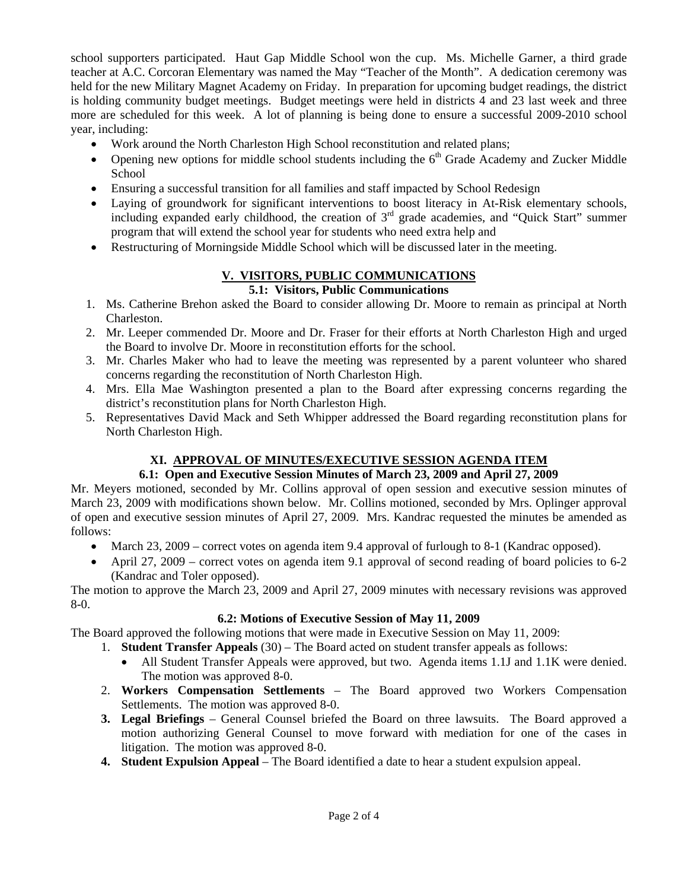school supporters participated. Haut Gap Middle School won the cup. Ms. Michelle Garner, a third grade teacher at A.C. Corcoran Elementary was named the May "Teacher of the Month". A dedication ceremony was held for the new Military Magnet Academy on Friday. In preparation for upcoming budget readings, the district is holding community budget meetings. Budget meetings were held in districts 4 and 23 last week and three more are scheduled for this week. A lot of planning is being done to ensure a successful 2009-2010 school year, including:

- Work around the North Charleston High School reconstitution and related plans;
- Opening new options for middle school students including the  $6<sup>th</sup>$  Grade Academy and Zucker Middle School
- Ensuring a successful transition for all families and staff impacted by School Redesign
- Laying of groundwork for significant interventions to boost literacy in At-Risk elementary schools, including expanded early childhood, the creation of 3<sup>rd</sup> grade academies, and "Ouick Start" summer program that will extend the school year for students who need extra help and
- Restructuring of Morningside Middle School which will be discussed later in the meeting.

# **V. VISITORS, PUBLIC COMMUNICATIONS**

## **5.1: Visitors, Public Communications**

- 1. Ms. Catherine Brehon asked the Board to consider allowing Dr. Moore to remain as principal at North Charleston.
- 2. Mr. Leeper commended Dr. Moore and Dr. Fraser for their efforts at North Charleston High and urged the Board to involve Dr. Moore in reconstitution efforts for the school.
- 3. Mr. Charles Maker who had to leave the meeting was represented by a parent volunteer who shared concerns regarding the reconstitution of North Charleston High.
- 4. Mrs. Ella Mae Washington presented a plan to the Board after expressing concerns regarding the district's reconstitution plans for North Charleston High.
- 5. Representatives David Mack and Seth Whipper addressed the Board regarding reconstitution plans for North Charleston High.

# **XI. APPROVAL OF MINUTES/EXECUTIVE SESSION AGENDA ITEM**

## **6.1: Open and Executive Session Minutes of March 23, 2009 and April 27, 2009**

Mr. Meyers motioned, seconded by Mr. Collins approval of open session and executive session minutes of March 23, 2009 with modifications shown below. Mr. Collins motioned, seconded by Mrs. Oplinger approval of open and executive session minutes of April 27, 2009. Mrs. Kandrac requested the minutes be amended as follows:

- March 23, 2009 correct votes on agenda item 9.4 approval of furlough to 8-1 (Kandrac opposed).
- April 27, 2009 correct votes on agenda item 9.1 approval of second reading of board policies to 6-2 (Kandrac and Toler opposed).

The motion to approve the March 23, 2009 and April 27, 2009 minutes with necessary revisions was approved 8-0.

## **6.2: Motions of Executive Session of May 11, 2009**

The Board approved the following motions that were made in Executive Session on May 11, 2009:

- 1. **Student Transfer Appeals** (30) The Board acted on student transfer appeals as follows:
	- All Student Transfer Appeals were approved, but two. Agenda items 1.1J and 1.1K were denied. The motion was approved 8-0.
- 2. **Workers Compensation Settlements** The Board approved two Workers Compensation Settlements. The motion was approved 8-0.
- **3. Legal Briefings** General Counsel briefed the Board on three lawsuits. The Board approved a motion authorizing General Counsel to move forward with mediation for one of the cases in litigation. The motion was approved 8-0.
- **4. Student Expulsion Appeal** The Board identified a date to hear a student expulsion appeal.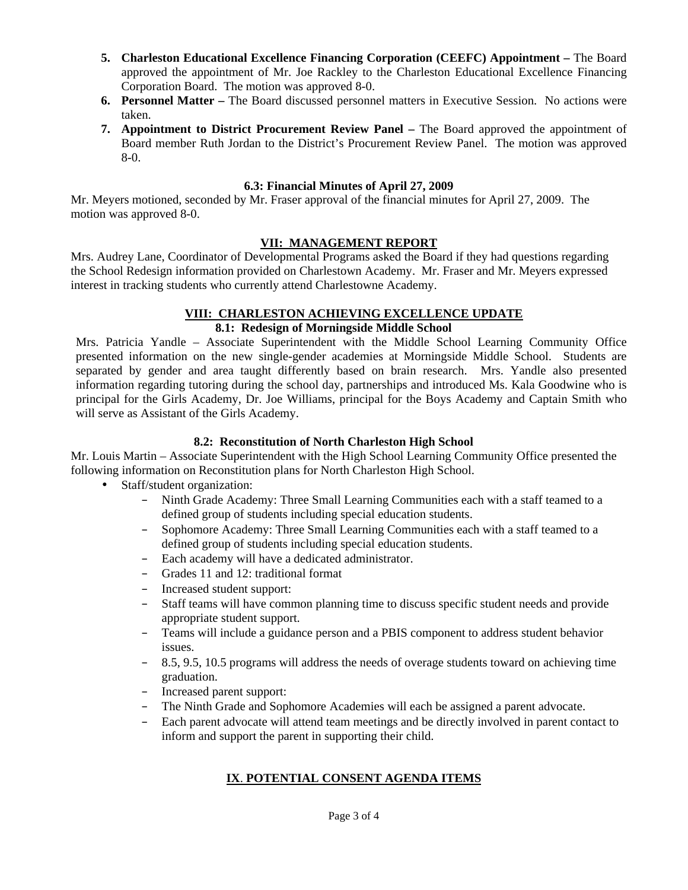- **5. Charleston Educational Excellence Financing Corporation (CEEFC) Appointment** The Board approved the appointment of Mr. Joe Rackley to the Charleston Educational Excellence Financing Corporation Board. The motion was approved 8-0.
- **6. Personnel Matter** The Board discussed personnel matters in Executive Session. No actions were taken.
- **7. Appointment to District Procurement Review Panel** The Board approved the appointment of Board member Ruth Jordan to the District's Procurement Review Panel. The motion was approved 8-0.

#### **6.3: Financial Minutes of April 27, 2009**

Mr. Meyers motioned, seconded by Mr. Fraser approval of the financial minutes for April 27, 2009. The motion was approved 8-0.

#### **VII: MANAGEMENT REPORT**

Mrs. Audrey Lane, Coordinator of Developmental Programs asked the Board if they had questions regarding the School Redesign information provided on Charlestown Academy. Mr. Fraser and Mr. Meyers expressed interest in tracking students who currently attend Charlestowne Academy.

#### **VIII: CHARLESTON ACHIEVING EXCELLENCE UPDATE**

## **8.1: Redesign of Morningside Middle School**

Mrs. Patricia Yandle – Associate Superintendent with the Middle School Learning Community Office presented information on the new single-gender academies at Morningside Middle School. Students are separated by gender and area taught differently based on brain research. Mrs. Yandle also presented information regarding tutoring during the school day, partnerships and introduced Ms. Kala Goodwine who is principal for the Girls Academy, Dr. Joe Williams, principal for the Boys Academy and Captain Smith who will serve as Assistant of the Girls Academy.

#### **8.2: Reconstitution of North Charleston High School**

Mr. Louis Martin – Associate Superintendent with the High School Learning Community Office presented the following information on Reconstitution plans for North Charleston High School.

- Staff/student organization:
	- Ninth Grade Academy: Three Small Learning Communities each with a staff teamed to a defined group of students including special education students.
	- Sophomore Academy: Three Small Learning Communities each with a staff teamed to a defined group of students including special education students.
	- Each academy will have a dedicated administrator.
	- Grades 11 and 12: traditional format
	- Increased student support:
	- Staff teams will have common planning time to discuss specific student needs and provide appropriate student support.
	- Teams will include a guidance person and a PBIS component to address student behavior issues.
	- 8.5, 9.5, 10.5 programs will address the needs of overage students toward on achieving time graduation.
	- Increased parent support:
	- The Ninth Grade and Sophomore Academies will each be assigned a parent advocate.
	- Each parent advocate will attend team meetings and be directly involved in parent contact to inform and support the parent in supporting their child.

# **IX**. **POTENTIAL CONSENT AGENDA ITEMS**

Page 3 of 4